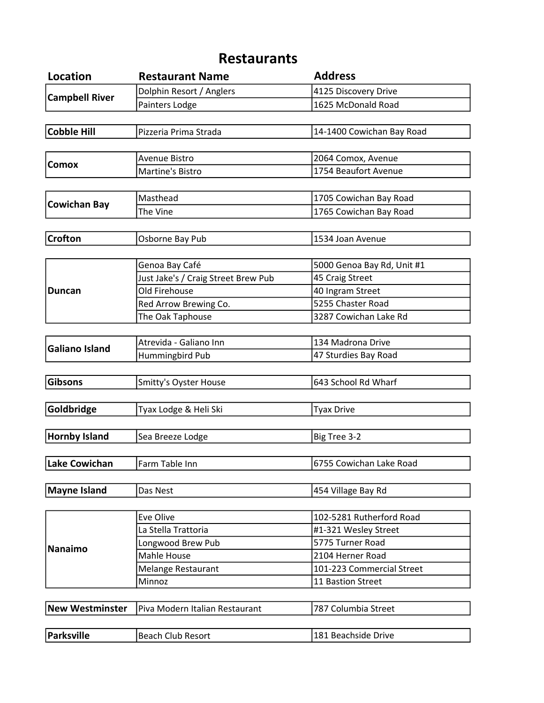## Restaurants

| <b>Location</b>        | <b>Restaurant Name</b>              | <b>Address</b>             |
|------------------------|-------------------------------------|----------------------------|
| <b>Campbell River</b>  | Dolphin Resort / Anglers            | 4125 Discovery Drive       |
|                        | Painters Lodge                      | 1625 McDonald Road         |
|                        |                                     |                            |
| <b>Cobble Hill</b>     | Pizzeria Prima Strada               | 14-1400 Cowichan Bay Road  |
|                        |                                     |                            |
| <b>Comox</b>           | Avenue Bistro                       | 2064 Comox, Avenue         |
|                        | Martine's Bistro                    | 1754 Beaufort Avenue       |
|                        |                                     |                            |
|                        | Masthead                            | 1705 Cowichan Bay Road     |
| <b>Cowichan Bay</b>    | The Vine                            | 1765 Cowichan Bay Road     |
|                        |                                     |                            |
| <b>Crofton</b>         | Osborne Bay Pub                     | 1534 Joan Avenue           |
|                        |                                     |                            |
|                        | Genoa Bay Café                      | 5000 Genoa Bay Rd, Unit #1 |
|                        | Just Jake's / Craig Street Brew Pub | 45 Craig Street            |
| <b>Duncan</b>          | Old Firehouse                       | 40 Ingram Street           |
|                        | Red Arrow Brewing Co.               | 5255 Chaster Road          |
|                        | The Oak Taphouse                    | 3287 Cowichan Lake Rd      |
|                        |                                     |                            |
| <b>Galiano Island</b>  | Atrevida - Galiano Inn              | 134 Madrona Drive          |
|                        | Hummingbird Pub                     | 47 Sturdies Bay Road       |
|                        |                                     |                            |
| <b>Gibsons</b>         | <b>Smitty's Oyster House</b>        | 643 School Rd Wharf        |
|                        |                                     |                            |
| Goldbridge             | Tyax Lodge & Heli Ski               | <b>Tyax Drive</b>          |
|                        |                                     |                            |
| <b>Hornby Island</b>   | Sea Breeze Lodge                    | Big Tree 3-2               |
|                        |                                     |                            |
| <b>Lake Cowichan</b>   | Farm Table Inn                      | 6755 Cowichan Lake Road    |
|                        |                                     |                            |
| <b>Mayne Island</b>    | Das Nest                            | 454 Village Bay Rd         |
|                        |                                     |                            |
|                        | Eve Olive                           | 102-5281 Rutherford Road   |
|                        | La Stella Trattoria                 | #1-321 Wesley Street       |
|                        | Longwood Brew Pub                   | 5775 Turner Road           |
| <b>Nanaimo</b>         | Mahle House                         | 2104 Herner Road           |
|                        | <b>Melange Restaurant</b>           | 101-223 Commercial Street  |
|                        | Minnoz                              | 11 Bastion Street          |
|                        |                                     |                            |
| <b>New Westminster</b> | Piva Modern Italian Restaurant      | 787 Columbia Street        |
|                        |                                     |                            |
| <b>Parksville</b>      | <b>Beach Club Resort</b>            | 181 Beachside Drive        |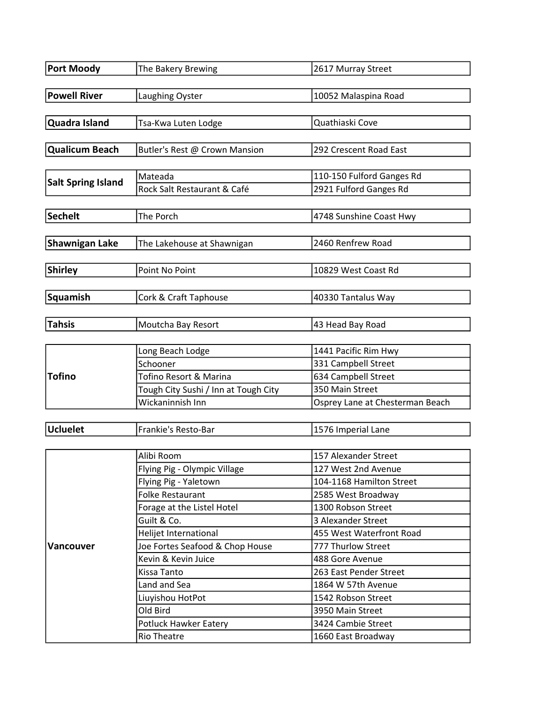| <b>Port Moody</b>         | The Bakery Brewing                                       | 2617 Murray Street                          |
|---------------------------|----------------------------------------------------------|---------------------------------------------|
|                           |                                                          |                                             |
| <b>Powell River</b>       | Laughing Oyster                                          | 10052 Malaspina Road                        |
| Quadra Island             | Tsa-Kwa Luten Lodge                                      | Quathiaski Cove                             |
|                           |                                                          |                                             |
| <b>Qualicum Beach</b>     | Butler's Rest @ Crown Mansion                            | 292 Crescent Road East                      |
|                           |                                                          |                                             |
| <b>Salt Spring Island</b> | Mateada                                                  | 110-150 Fulford Ganges Rd                   |
|                           | Rock Salt Restaurant & Café                              | 2921 Fulford Ganges Rd                      |
|                           |                                                          |                                             |
| <b>Sechelt</b>            | The Porch                                                | 4748 Sunshine Coast Hwy                     |
| <b>Shawnigan Lake</b>     | The Lakehouse at Shawnigan                               | 2460 Renfrew Road                           |
|                           |                                                          |                                             |
| <b>Shirley</b>            | Point No Point                                           | 10829 West Coast Rd                         |
|                           |                                                          |                                             |
| Squamish                  | Cork & Craft Taphouse                                    | 40330 Tantalus Way                          |
|                           |                                                          |                                             |
| <b>Tahsis</b>             | Moutcha Bay Resort                                       | 43 Head Bay Road                            |
|                           |                                                          |                                             |
|                           | Long Beach Lodge                                         | 1441 Pacific Rim Hwy                        |
|                           | Schooner                                                 | 331 Campbell Street                         |
| <b>Tofino</b>             | Tofino Resort & Marina                                   | 634 Campbell Street                         |
|                           | Tough City Sushi / Inn at Tough City                     | 350 Main Street                             |
|                           | Wickaninnish Inn                                         | Osprey Lane at Chesterman Beach             |
|                           |                                                          |                                             |
| <b>Ucluelet</b>           | Frankie's Resto-Bar                                      | 1576 Imperial Lane                          |
|                           |                                                          |                                             |
|                           | Alibi Room                                               | 157 Alexander Street<br>127 West 2nd Avenue |
|                           | Flying Pig - Olympic Village                             | 104-1168 Hamilton Street                    |
|                           | Flying Pig - Yaletown<br><b>Folke Restaurant</b>         | 2585 West Broadway                          |
|                           | Forage at the Listel Hotel                               | 1300 Robson Street                          |
|                           | Guilt & Co.                                              | 3 Alexander Street                          |
|                           |                                                          | 455 West Waterfront Road                    |
|                           | Helijet International<br>Joe Fortes Seafood & Chop House | 777 Thurlow Street                          |
| <b>Vancouver</b>          | Kevin & Kevin Juice                                      | 488 Gore Avenue                             |
|                           | Kissa Tanto                                              | 263 East Pender Street                      |
|                           | Land and Sea                                             | 1864 W 57th Avenue                          |
|                           | Liuyishou HotPot                                         | 1542 Robson Street                          |
|                           | Old Bird                                                 | 3950 Main Street                            |
|                           | <b>Potluck Hawker Eatery</b>                             | 3424 Cambie Street                          |
|                           |                                                          |                                             |
|                           | <b>Rio Theatre</b>                                       | 1660 East Broadway                          |